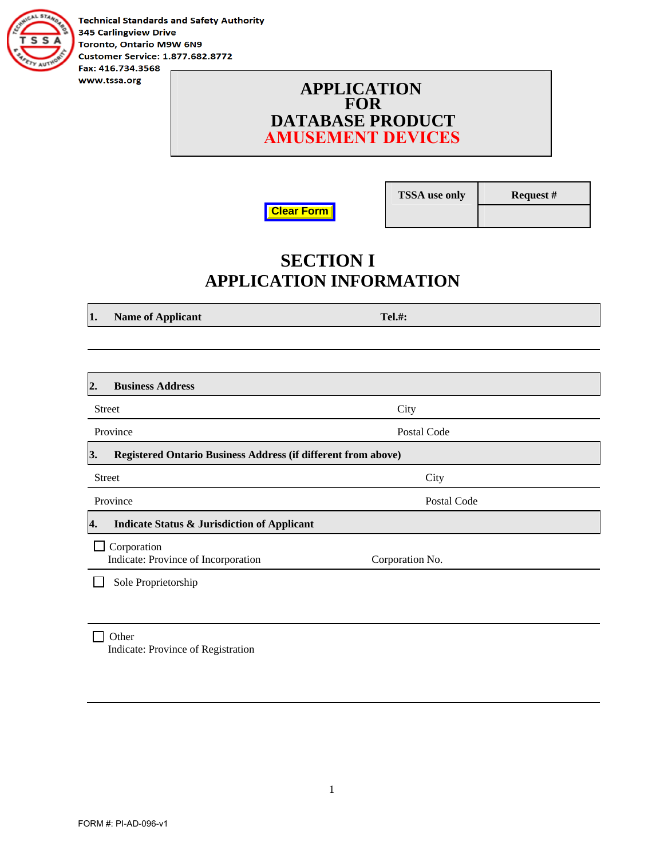

**Technical Standards and Safety Authority 345 Carlingview Drive** Toronto, Ontario M9W 6N9 **Customer Service: 1.877.682.8772** Fax: 416.734.3568

> **APPLICATION FOR DATABASE PRODUCT AMUSEMENT DEVICES**



**TSSA use only Request #** 

### **SECTION I APPLICATION INFORMATION**

**1.** Name of Applicant Tel.#:

| <b>Business Address</b><br>2.                                              |                 |
|----------------------------------------------------------------------------|-----------------|
| <b>Street</b>                                                              | City            |
| Province                                                                   | Postal Code     |
| 3.<br><b>Registered Ontario Business Address (if different from above)</b> |                 |
| <b>Street</b>                                                              | City            |
| Province                                                                   | Postal Code     |
| <b>Indicate Status &amp; Jurisdiction of Applicant</b><br>4.               |                 |
| Corporation<br>Indicate: Province of Incorporation                         | Corporation No. |
| Sole Proprietorship                                                        |                 |
|                                                                            |                 |

 $\Box$  Other Indicate: Province of Registration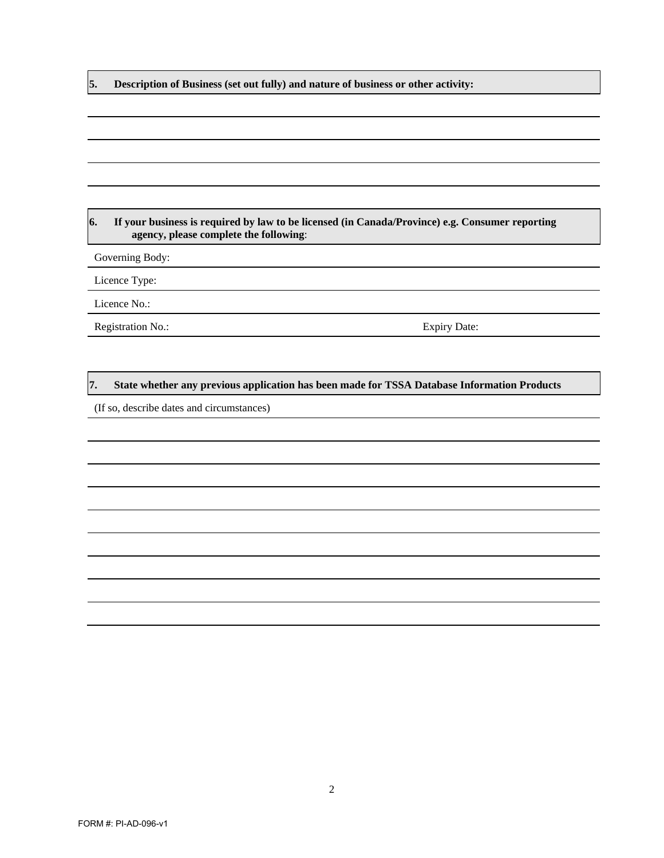**5. Description of Business (set out fully) and nature of business or other activity:** 

#### **6. If your business is required by law to be licensed (in Canada/Province) e.g. Consumer reporting agency, please complete the following**:

Governing Body:

Licence Type:

Licence No.:

Registration No.: Expiry Date:

#### **7. State whether any previous application has been made for TSSA Database Information Products**

(If so, describe dates and circumstances)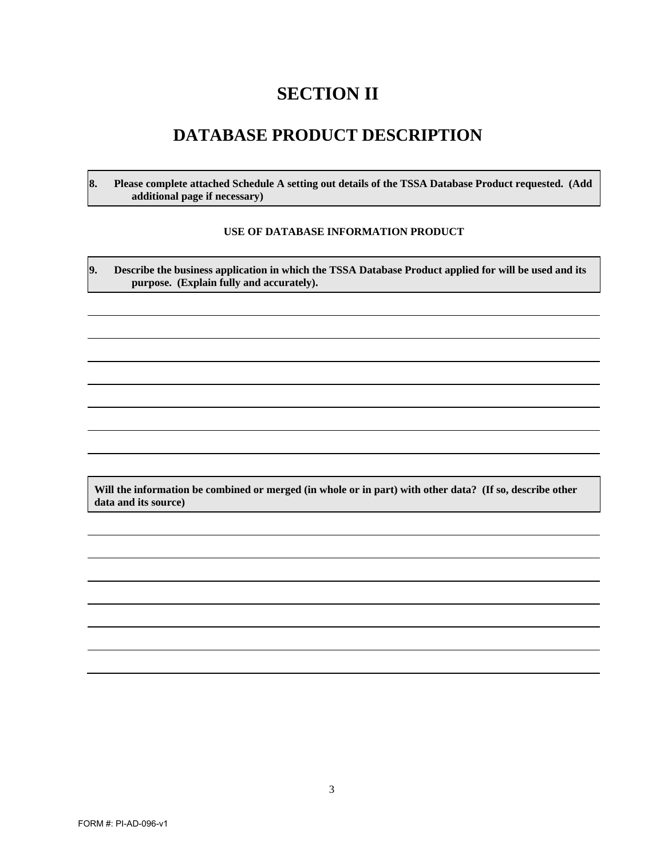## **SECTION II**

#### **DATABASE PRODUCT DESCRIPTION**

**8. Please complete attached Schedule A setting out details of the TSSA Database Product requested. (Add additional page if necessary)** 

#### **USE OF DATABASE INFORMATION PRODUCT**

**9. Describe the business application in which the TSSA Database Product applied for will be used and its purpose. (Explain fully and accurately).** 

**Will the information be combined or merged (in whole or in part) with other data? (If so, describe other data and its source)**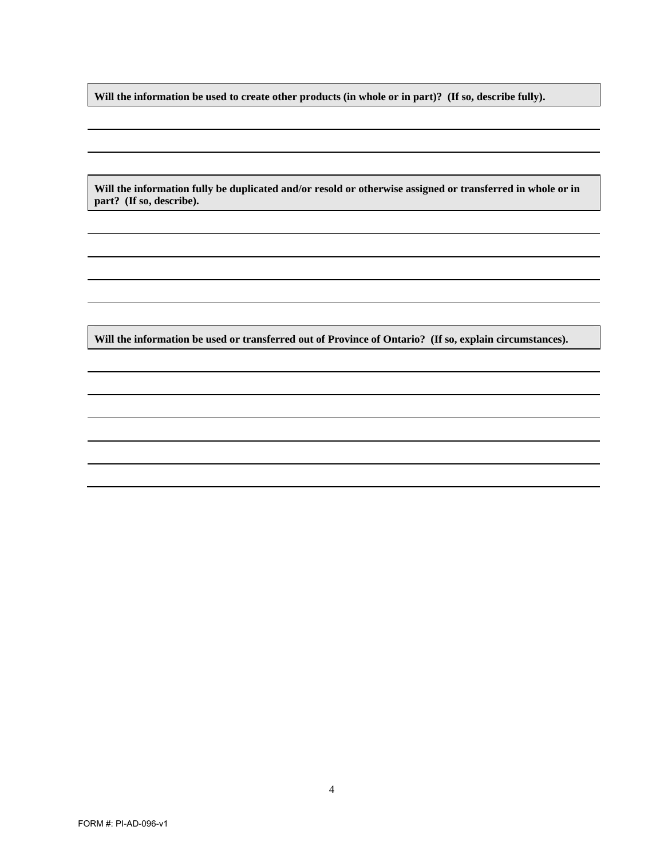**Will the information be used to create other products (in whole or in part)? (If so, describe fully).** 

**Will the information fully be duplicated and/or resold or otherwise assigned or transferred in whole or in part? (If so, describe).** 

**Will the information be used or transferred out of Province of Ontario? (If so, explain circumstances).**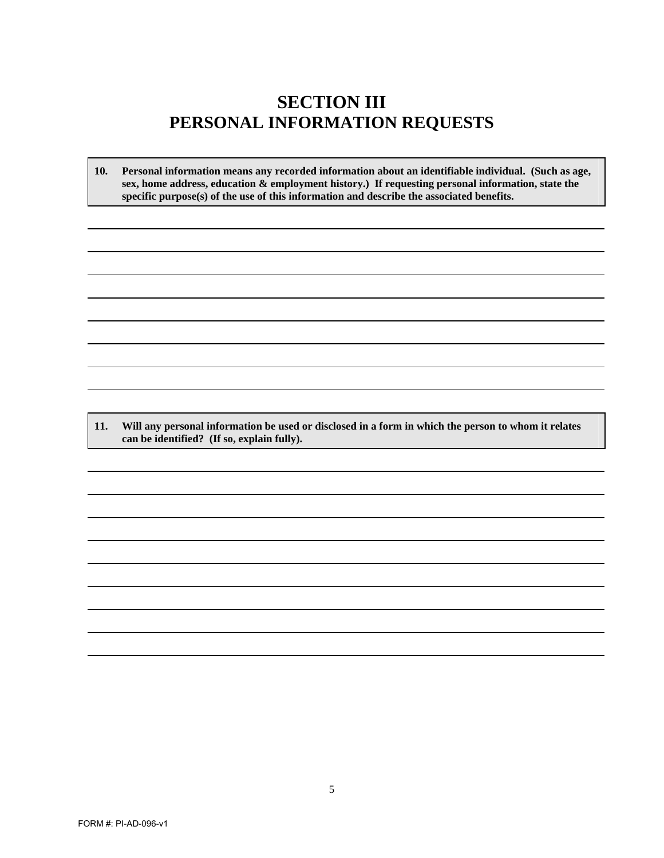### **SECTION III PERSONAL INFORMATION REQUESTS**

**10. Personal information means any recorded information about an identifiable individual. (Such as age, sex, home address, education & employment history.) If requesting personal information, state the specific purpose(s) of the use of this information and describe the associated benefits.**

**11. Will any personal information be used or disclosed in a form in which the person to whom it relates can be identified? (If so, explain fully).**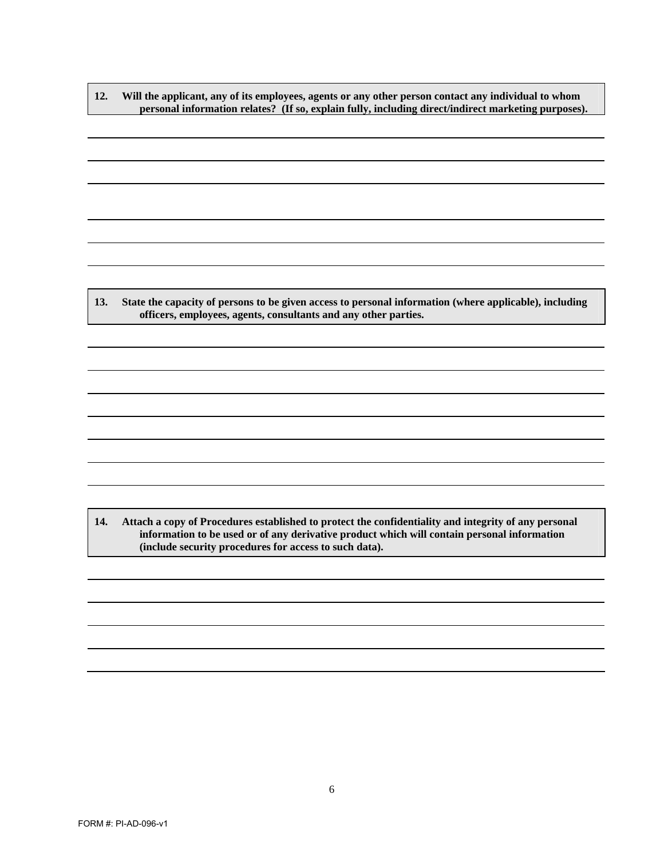**12. Will the applicant, any of its employees, agents or any other person contact any individual to whom personal information relates? (If so, explain fully, including direct/indirect marketing purposes).** 

**13. State the capacity of persons to be given access to personal information (where applicable), including officers, employees, agents, consultants and any other parties.** 

**14. Attach a copy of Procedures established to protect the confidentiality and integrity of any personal information to be used or of any derivative product which will contain personal information (include security procedures for access to such data).**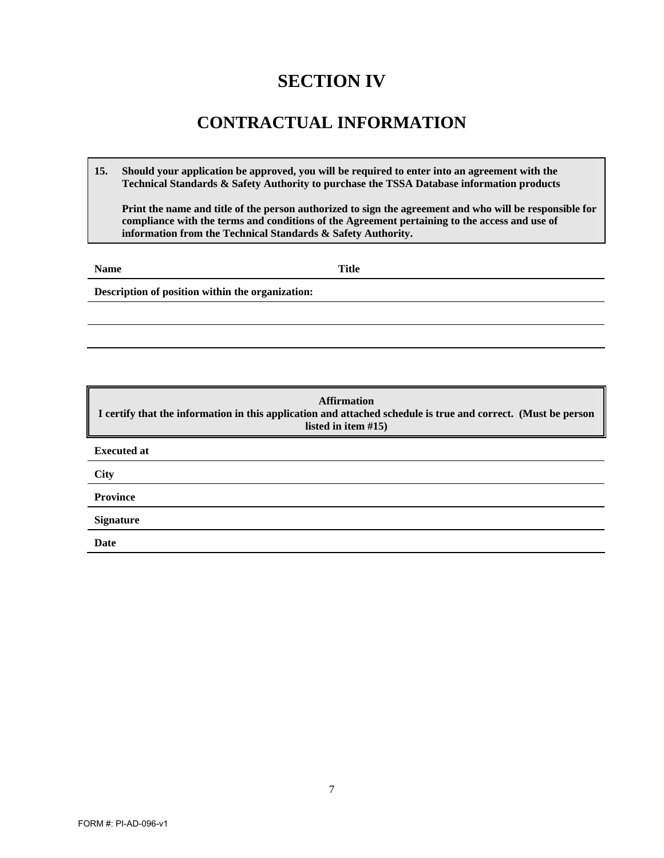## **SECTION IV**

## **CONTRACTUAL INFORMATION**

**15. Should your application be approved, you will be required to enter into an agreement with the Technical Standards & Safety Authority to purchase the TSSA Database information products**

**Print the name and title of the person authorized to sign the agreement and who will be responsible for compliance with the terms and conditions of the Agreement pertaining to the access and use of information from the Technical Standards & Safety Authority.**

**Name** Title

**Description of position within the organization:** 

**Affirmation I certify that the information in this application and attached schedule is true and correct. (Must be person listed in item #15) Executed at City Province Signature Date**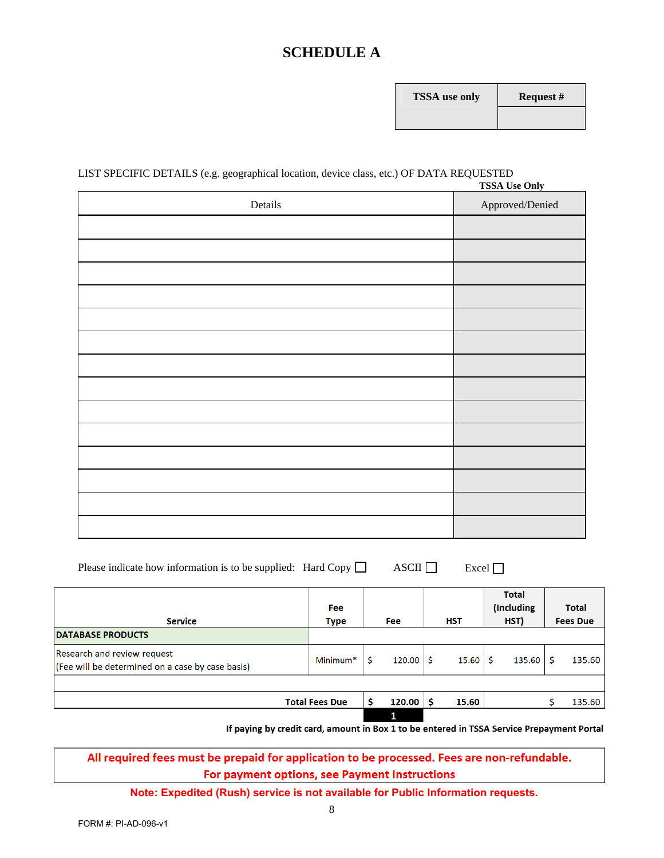#### **SCHEDULE A**

| <b>FSSA</b> use only | R٤ |
|----------------------|----|
|                      |    |

#### LIST SPECIFIC DETAILS (e.g. geographical location, device class, etc.) OF DATA REQUESTED **TSSA Use Only**

| Details | <b>155A Use Omy</b><br>Approved/Denied |
|---------|----------------------------------------|
|         |                                        |
|         |                                        |
|         |                                        |
|         |                                        |
|         |                                        |
|         |                                        |
|         |                                        |
|         |                                        |
|         |                                        |
|         |                                        |
|         |                                        |
|         |                                        |
|         |                                        |
|         |                                        |

| Please indicate how information is to be supplied: Hard Copy $\Box$ |  | $\overline{\text{ASCII}}$ | $\Box$ Excel $\Box$ |
|---------------------------------------------------------------------|--|---------------------------|---------------------|
|---------------------------------------------------------------------|--|---------------------------|---------------------|

| <b>Service</b>                                                                  | <b>Fee</b><br><b>Type</b> | <b>Fee</b> | <b>HST</b> | <b>Total</b><br>(Including<br>HST) | <b>Total</b><br><b>Fees Due</b> |
|---------------------------------------------------------------------------------|---------------------------|------------|------------|------------------------------------|---------------------------------|
| <b>DATABASE PRODUCTS</b>                                                        |                           |            |            |                                    |                                 |
| Research and review request<br>(Fee will be determined on a case by case basis) | Minimum <sup>*</sup>      | 120.00     | 15.60      | 135.60                             | 135.60                          |
|                                                                                 |                           |            |            |                                    |                                 |
|                                                                                 | <b>Total Fees Due</b>     | 120.00     | 15.60      |                                    | 135.60                          |
|                                                                                 |                           | 1          |            |                                    |                                 |

If paying by credit card, amount in Box 1 to be entered in TSSA Service Prepayment Portal

All required fees must be prepaid for application to be processed. Fees are non-refundable. For payment options, see Payment Instructions

**Note: Expedited (Rush) service is not available for Public Information requests.**